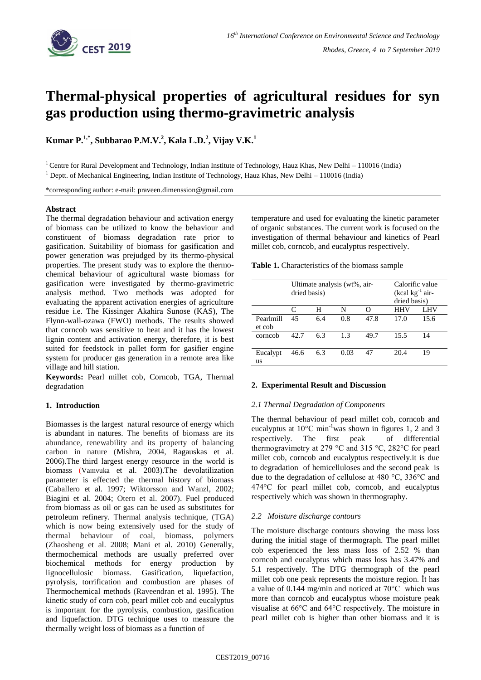

# **Thermal-physical properties of agricultural residues for syn gas production using thermo-gravimetric analysis**

**Kumar P.1,\* , Subbarao P.M.V.<sup>2</sup> , Kala L.D.<sup>2</sup> , Vijay V.K.<sup>1</sup>**

<sup>1</sup> Centre for Rural Development and Technology, Indian Institute of Technology, Hauz Khas, New Delhi - 110016 (India) <sup>1</sup> Deptt. of Mechanical Engineering, Indian Institute of Technology, Hauz Khas, New Delhi – 110016 (India)

\*corresponding author: e-mail: praveen.dimenssion@gmail.com

## **Abstract**

The thermal degradation behaviour and activation energy of biomass can be utilized to know the behaviour and constituent of biomass degradation rate prior to gasification. Suitability of biomass for gasification and power generation was prejudged by its thermo-physical properties. The present study was to explore the thermochemical behaviour of agricultural waste biomass for gasification were investigated by thermo-gravimetric analysis method. Two methods was adopted for evaluating the apparent activation energies of agriculture residue i.e. The Kissinger Akahira Sunose (KAS), The Flynn-wall-ozawa (FWO) methods. The results showed that corncob was sensitive to heat and it has the lowest lignin content and activation energy, therefore, it is best suited for feedstock in pallet form for gasifier engine system for producer gas generation in a remote area like village and hill station.

**Keywords:** Pearl millet cob, Corncob, TGA, Thermal degradation

## **1. Introduction**

Biomasses is the largest natural resource of energy which is abundant in natures. The benefits of biomass are its abundance, renewability and its property of balancing carbon in nature (Mishra, 2004, Ragauskas et al. 2006).The third largest energy resource in the world is biomass (Vamvuka et al. 2003).The devolatilization parameter is effected the thermal history of biomass (Caballero et al. 1997; Wiktorsson and Wanzl, 2002; Biagini et al. 2004; Otero et al. 2007). Fuel produced from biomass as oil or gas can be used as substitutes for petroleum refinery. Thermal analysis technique, (TGA) which is now being extensively used for the study of thermal behaviour of coal, biomass, polymers (Zhaosheng et al. 2008; Mani et al. 2010) Generally, thermochemical methods are usually preferred over biochemical methods for energy production by lignocellulosic biomass. Gasification, liquefaction, pyrolysis, torrification and combustion are phases of Thermochemical methods (Raveendran et al. 1995). The kinetic study of corn cob, pearl millet cob and eucalyptus is important for the pyrolysis, combustion, gasification and liquefaction. DTG technique uses to measure the thermally weight loss of biomass as a function of

temperature and used for evaluating the kinetic parameter of organic substances. The current work is focused on the investigation of thermal behaviour and kinetics of Pearl millet cob, corncob, and eucalyptus respectively.

**Table 1.** Characteristics of the biomass sample

|                     | Ultimate analysis (wt%, air-<br>dried basis) |     |      |      | Calorific value<br>(kcal $kg^{-1}$ air-<br>dried basis) |      |
|---------------------|----------------------------------------------|-----|------|------|---------------------------------------------------------|------|
|                     | $\subset$                                    | н   | N    |      | HHV                                                     | LHV  |
| Pearlmill<br>et cob | 45                                           | 6.4 | 0.8  | 47.8 | 17.0                                                    | 15.6 |
| corncob             | 42.7                                         | 6.3 | 1.3  | 49.7 | 15.5                                                    | 14   |
| Eucalypt<br>us      | 46.6                                         | 6.3 | 0.03 | 47   | 20.4                                                    | 19   |

## **2. Experimental Result and Discussion**

#### *2.1 Thermal Degradation of Components*

The thermal behaviour of pearl millet cob, corncob and eucalyptus at  $10^{\circ}$ C min<sup>-1</sup>was shown in figures 1, 2 and 3 respectively. The first peak of differential thermogravimetry at 279 °C and 315 °C, 282°C for pearl millet cob, corncob and eucalyptus respectively.it is due to degradation of hemicelluloses and the second peak is due to the degradation of cellulose at 480 °C, 336°C and 474°C for pearl millet cob, corncob, and eucalyptus respectively which was shown in thermography.

## *2.2 Moisture discharge contours*

The moisture discharge contours showing the mass loss during the initial stage of thermograph. The pearl millet cob experienced the less mass loss of 2.52 % than corncob and eucalyptus which mass loss has 3.47% and 5.1 respectively. The DTG thermograph of the pearl millet cob one peak represents the moisture region. İt has a value of 0.144 mg/min and noticed at 70°C which was more than corncob and eucalyptus whose moisture peak visualise at 66°C and 64°C respectively. The moisture in pearl millet cob is higher than other biomass and it is